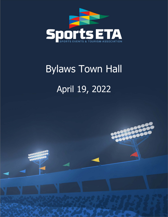

# Bylaws Town Hall April 19, 2022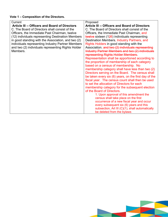# **Vote 1 – Composition of the Directors.**

| Current                                               | Proposed                                                |
|-------------------------------------------------------|---------------------------------------------------------|
| <b>Article III -- Officers and Board of Directors</b> | <b>Article III -- Officers and Board of Directors</b>   |
| C. The Board of Directors shall consist of the        | C. The Board of Directors shall consist of the          |
| Officers, the Immediate Past Chairman, twelve         | Officers, the Immediate Past Chairman, and              |
| (12) individuals representing Destination Members     | twelve sixteen $(126)$ individuals representing         |
| in good standing with the Association, and two (2)    | Destination Members, Industry Partners, and             |
| individuals representing Industry Partner Members     | Rights Holders in good standing with the                |
| and two (2) individuals representing Rights Holder    | Association. and two (2) individuals representing       |
| Members.                                              | <b>Industry Partner Members and two (2) individuals</b> |
|                                                       | representing Rights Holder Members.                     |
|                                                       | Representation shall be apportioned according to        |
|                                                       | the proportion of membership of each category           |
|                                                       | based on a census of membership. No                     |
|                                                       | membership category shall have less than two (2)        |
|                                                       | Directors serving on the Board. The census shall        |
|                                                       | be taken every six (6) years, on the first day of the   |
|                                                       | fiscal year. The census count shall then be used        |
|                                                       | to set the allocation of Directors for each             |
|                                                       | membership category for the subsequent election         |
|                                                       | of the Board of Directors.                              |
|                                                       | 1. Upon approval of this amendment the                  |
|                                                       | census shall take place on the first                    |
|                                                       | occurrence of a new fiscal year and occur               |
|                                                       | every subsequent six (6) years and this                 |
|                                                       | subsection, Art III (C)(1), shall automatically         |
|                                                       | be deleted from the bylaws                              |

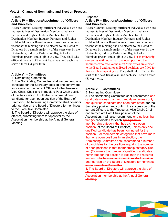#### **Current Article IV -- Election/Appointment of Officers and Directors**

At each Annual Meeting, sufficient individuals who are representatives of Destination Members, Industry Partners, and Rights Holders Members to fill Destination Member, Industry Partners, and Rights Holders Members Board member positions becoming vacant at the meeting shall be elected to the Board of Directors by a simple majority of the votes cast by the Destination, Industry Partner and Rights Holder Members present and eligible to vote. They shall take office at the start of the next fiscal year and each shall serve a three (3)-year term.

# **Article VII – Committees**

B. Nominating Committee

3. The Nominating Committee shall recommend one candidate for the Secretary position and confirm the succession of the current Officers to the Treasurer, Vice Chair, Chair and Immediate Past Chair position of the Association. It will also recommend one candidate for each open position of the Board of Directors. The Nominating Committee shall consider prior service on the Board of Directors for nominees to the Executive Committee.

4. The Board of Directors will approve the slate of officers, submitting them for approval by the Association membership at the Annual General Meeting.

# Proposed **Article IV -- Election/Appointment of Officers and Directors**

At each Annual Meeting, sufficient individuals who are representatives of Destination Members, Industry Partners, and Rights Holders Members to fill Destination Member, Industry Partners, and Rights Holders Members Board member positions becoming vacant at the meeting shall be elected to the Board of Directors by a simple majority of the votes cast by the Destination, Industry Partner and Rights Holder Members present and eligible to vote. For membership categories with more than one open position, the nominees who receive the most "for" votes are elected to the Board until all open Board positions are filled for that membership category. They shall take office at the start of the next fiscal year, and each shall serve a three (3)-year term.

# **Article VII – Committees**

B. Nominating Committee

3. The Nominating Committee shall recommend one candidate no less than two candidates, unless only one qualified candidate has been nominated, for the Secretary position and confirm the succession of the current Officers to the Treasurer, Vice Chair, Chair and Immediate Past Chair position of the Association. It will also recommend one no less than two (2) candidates for each open position membership category that has a single open position, of the Board of Directors, unless only one qualified candidate has been nominated for the position. For membership categories that have more than one open positions in an election, the Nominating Committee shall recommend a number of candidates for the positions equal to the number of open positions in that membership category plus two (2), unless the number of qualified candidates nominated for the position is less than the required amount. The Nominating Committee shall consider prior service on the Board of Directors for nominees to the Executive Committee.

4. The Board of Directors will approve the slate of officers, submitting them for approval by the Association membership at the Annual General Meeting.

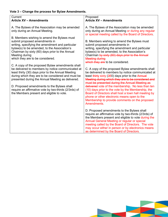# **Vote 3 – Change the process for Bylaw Amendments.**

| Current                                                                                                                                                                                                                                                                                                                                                                                                                    | Proposed                                                                                                                                                                                                                                                                                                                                                                                                                                                                                                                                               |
|----------------------------------------------------------------------------------------------------------------------------------------------------------------------------------------------------------------------------------------------------------------------------------------------------------------------------------------------------------------------------------------------------------------------------|--------------------------------------------------------------------------------------------------------------------------------------------------------------------------------------------------------------------------------------------------------------------------------------------------------------------------------------------------------------------------------------------------------------------------------------------------------------------------------------------------------------------------------------------------------|
| <b>Article XV - Amendments</b>                                                                                                                                                                                                                                                                                                                                                                                             | <b>Article XV - Amendments</b>                                                                                                                                                                                                                                                                                                                                                                                                                                                                                                                         |
| A. The Bylaws of the Association may be amended<br>only during an Annual Meeting.<br>B. Members wishing to amend the Bylaws must<br>submit proposed amendments in<br>writing, specifying the amendment and particular<br>bylaw(s) to be amended, to the Association's<br>Chairman by sixty (60) days prior to the Annual<br>Meeting during<br>which they are to be considered.                                             | A. The Bylaws of the Association may be amended<br>only during an Annual Meeting or during any regular<br>or special meeting called by the Board of Directors.<br>B. Members wishing to amend the Bylaws must<br>submit proposed amendments in<br>writing, specifying the amendment and particular<br>bylaw(s) to be amended, to the Association's<br>Chairman by sixty (60) days prior to the Annual<br><b>Meeting during</b><br>which they are to be considered.                                                                                     |
| C. A copy of the proposed Bylaw amendments shall<br>be delivered to members by notice communicated at<br>least thirty (30) days prior to the Annual Meeting<br>during which they are to be considered and must be<br>presented during the Annual Meeting as delivered.<br>D. Proposed amendments to the Bylaws shall<br>require an affirmative vote by two-thirds (2/3rds) of<br>the Members present and eligible to vote. | C. A copy of the proposed Bylaw amendments shall<br>be delivered to members by notice communicated at<br>least thirty sixty (360) days prior to the Annual<br>Meeting during which they are to be considered and<br>must be presented during the Annual Meeting as<br>delivered vote of the membership. No less than ten<br>(10) days prior to the vote by the Membership, the<br>Board of Directors shall host a town hall meeting by<br>phone or other electronic means open to the<br>Membership to provide comments on the proposed<br>Amendments. |
|                                                                                                                                                                                                                                                                                                                                                                                                                            | D. Proposed amendments to the Bylaws shall<br>require an affirmative vote by two-thirds (2/3rds) of<br>the Members present and eligible to vote during the<br>Annual General Meeting or regular or special<br>meeting called by the Board of Directors. The vote<br>may occur either in person or by electronics means<br>as determined by the Board of Directors.                                                                                                                                                                                     |

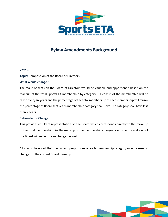

# **Bylaw Amendments Background**

# **Vote 1**

**Topic:** Composition of the Board of Directors

# **What would change?**

The make of seats on the Board of Directors would be variable and apportioned based on the makeup of the total SportsETA membership by category. A census of the membership will be taken every six years and the percentage of the total membership of each membership will mirror the percentage of Board seats each membership category shall have. No category shall have less than 2 seats.

# **Rationale for Change**

This provides equity of representation on the Board which corresponds directly to the make up of the total membership. As the makeup of the membership changes over time the make up of the Board will reflect those changes as well.

\*It should be noted that the current proportions of each membership category would cause no changes to the current Board make up.

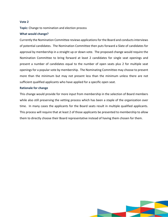#### **Vote 2**

**Topic:** Change to nomination and election process

#### **What would change?**

Currently the Nomination Committee reviews applications for the Board and conducts interviews of potential candidates. The Nomination Committee then puts forward a Slate of candidates for approval by membership in a straight up or down vote. The proposed change would require the Nomination Committee to bring forward at least 2 candidates for single seat openings and present a number of candidates equal to the number of open seats plus 2 for multiple seat openings for a popular vote by membership. The Nominating Committee may choose to present more than the minimum but may not present less than the minimum unless there are not sufficient qualified applicants who have applied for a specific open seat.

#### **Rationale for change**

This change would provide for more input from membership in the selection of Board members while also still preserving the vetting process which has been a staple of the organization over time. In many cases the applicants for the Board seats result in multiple qualified applicants. This process will require that at least 2 of those applicants be presented to membership to allow them to directly choose their Board representative instead of having them chosen for them.